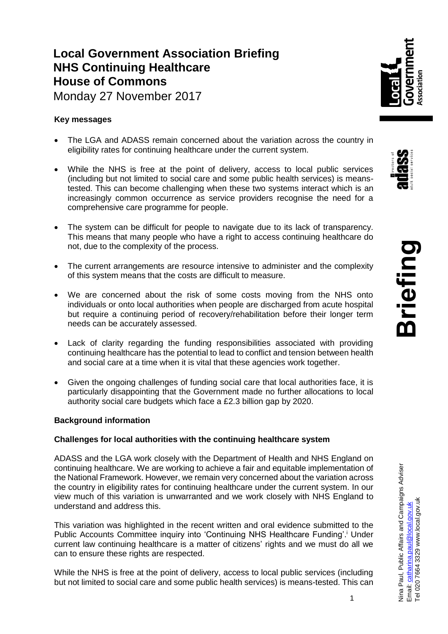# **Local Government Association Briefing NHS Continuing Healthcare House of Commons**

Monday 27 November 2017

## **Key messages**

- The LGA and ADASS remain concerned about the variation across the country in eligibility rates for continuing healthcare under the current system.
- While the NHS is free at the point of delivery, access to local public services (including but not limited to social care and some public health services) is meanstested. This can become challenging when these two systems interact which is an increasingly common occurrence as service providers recognise the need for a comprehensive care programme for people.
- The system can be difficult for people to navigate due to its lack of transparency. This means that many people who have a right to access continuing healthcare do not, due to the complexity of the process.
- The current arrangements are resource intensive to administer and the complexity of this system means that the costs are difficult to measure.
- We are concerned about the risk of some costs moving from the NHS onto individuals or onto local authorities when people are discharged from acute hospital but require a continuing period of recovery/rehabilitation before their longer term needs can be accurately assessed.
- Lack of clarity regarding the funding responsibilities associated with providing continuing healthcare has the potential to lead to conflict and tension between health and social care at a time when it is vital that these agencies work together.
- Given the ongoing challenges of funding social care that local authorities face, it is particularly disappointing that the Government made no further allocations to local authority social care budgets which face a £2.3 billion gap by 2020.

## **Background information**

## **Challenges for local authorities with the continuing healthcare system**

ADASS and the LGA work closely with the Department of Health and NHS England on continuing healthcare. We are working to achieve a fair and equitable implementation of the National Framework. However, we remain very concerned about the variation across the country in eligibility rates for continuing healthcare under the current system. In our view much of this variation is unwarranted and we work closely with NHS England to understand and address this.

This variation was highlighted in the recent written and oral evidence submitted to the Public Accounts Committee inquiry into 'Continuing NHS Healthcare Funding'.<sup>i</sup> Under current law continuing healthcare is a matter of citizens' rights and we must do all we can to ensure these rights are respected.

While the NHS is free at the point of delivery, access to local public services (including but not limited to social care and some public health services) is means-tested. This can

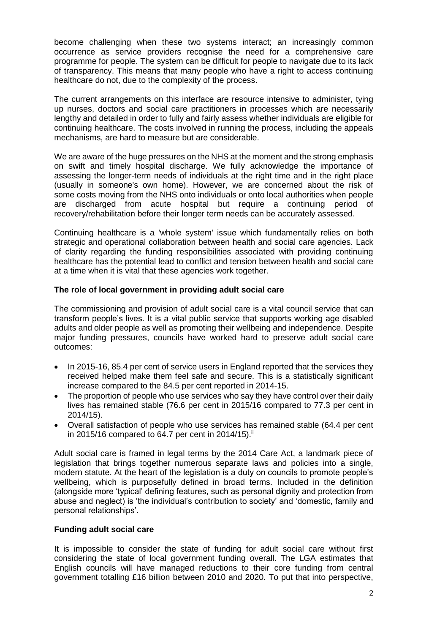become challenging when these two systems interact; an increasingly common occurrence as service providers recognise the need for a comprehensive care programme for people. The system can be difficult for people to navigate due to its lack of transparency. This means that many people who have a right to access continuing healthcare do not, due to the complexity of the process.

The current arrangements on this interface are resource intensive to administer, tying up nurses, doctors and social care practitioners in processes which are necessarily lengthy and detailed in order to fully and fairly assess whether individuals are eligible for continuing healthcare. The costs involved in running the process, including the appeals mechanisms, are hard to measure but are considerable.

We are aware of the huge pressures on the NHS at the moment and the strong emphasis on swift and timely hospital discharge. We fully acknowledge the importance of assessing the longer-term needs of individuals at the right time and in the right place (usually in someone's own home). However, we are concerned about the risk of some costs moving from the NHS onto individuals or onto local authorities when people are discharged from acute hospital but require a continuing period of recovery/rehabilitation before their longer term needs can be accurately assessed.

Continuing healthcare is a 'whole system' issue which fundamentally relies on both strategic and operational collaboration between health and social care agencies. Lack of clarity regarding the funding responsibilities associated with providing continuing healthcare has the potential lead to conflict and tension between health and social care at a time when it is vital that these agencies work together.

#### **The role of local government in providing adult social care**

The commissioning and provision of adult social care is a vital council service that can transform people's lives. It is a vital public service that supports working age disabled adults and older people as well as promoting their wellbeing and independence. Despite major funding pressures, councils have worked hard to preserve adult social care outcomes:

- In 2015-16, 85.4 per cent of service users in England reported that the services they received helped make them feel safe and secure. This is a statistically significant increase compared to the 84.5 per cent reported in 2014-15.
- The proportion of people who use services who say they have control over their daily lives has remained stable (76.6 per cent in 2015/16 compared to 77.3 per cent in 2014/15).
- Overall satisfaction of people who use services has remained stable (64.4 per cent in 2015/16 compared to 64.7 per cent in 2014/15).<sup>ii</sup>

Adult social care is framed in legal terms by the 2014 Care Act, a landmark piece of legislation that brings together numerous separate laws and policies into a single, modern statute. At the heart of the legislation is a duty on councils to promote people's wellbeing, which is purposefully defined in broad terms. Included in the definition (alongside more 'typical' defining features, such as personal dignity and protection from abuse and neglect) is 'the individual's contribution to society' and 'domestic, family and personal relationships'.

#### **Funding adult social care**

It is impossible to consider the state of funding for adult social care without first considering the state of local government funding overall. The LGA estimates that English councils will have managed reductions to their core funding from central government totalling £16 billion between 2010 and 2020. To put that into perspective,